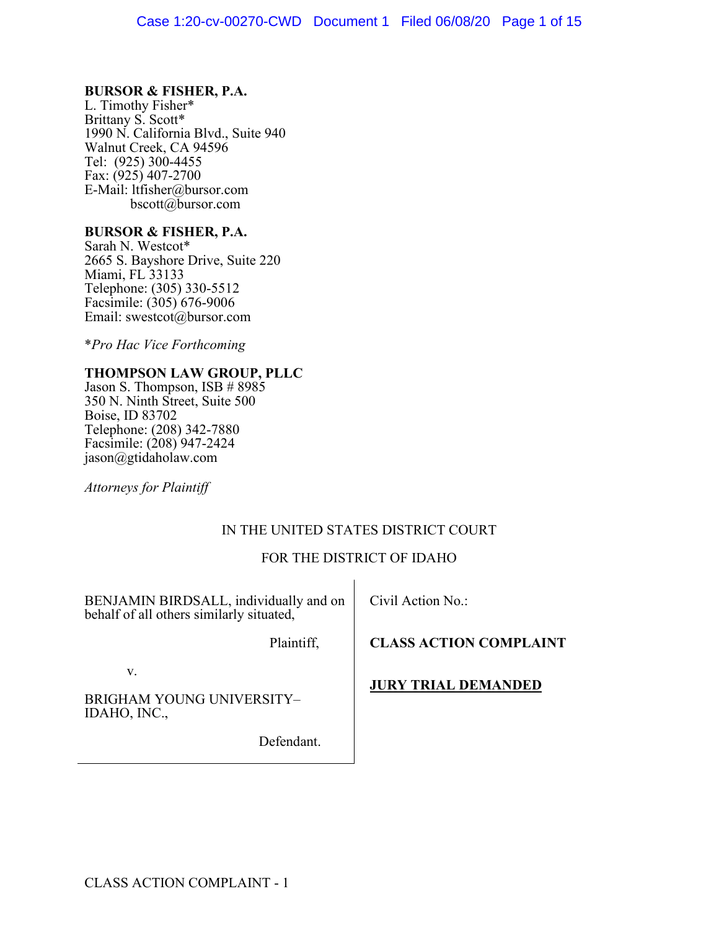## **BURSOR & FISHER, P.A.**

L. Timothy Fisher\* Brittany S. Scott\* 1990 N. California Blvd., Suite 940 Walnut Creek, CA 94596 Tel: (925) 300-4455 Fax: (925) 407-2700 E-Mail: ltfisher@bursor.com bscott@bursor.com

# **BURSOR & FISHER, P.A.** Sarah N. Westcot\*

2665 S. Bayshore Drive, Suite 220 Miami, FL 33133 Telephone: (305) 330-5512 Facsimile: (305) 676-9006 Email: swestcot@bursor.com

\**Pro Hac Vice Forthcoming*

## **THOMPSON LAW GROUP, PLLC**

Jason S. Thompson, ISB # 8985 350 N. Ninth Street, Suite 500 Boise, ID 83702 Telephone: (208) 342-7880 Facsimile: (208) 947-2424 jason@gtidaholaw.com

*Attorneys for Plaintiff*

## IN THE UNITED STATES DISTRICT COURT

## FOR THE DISTRICT OF IDAHO

BENJAMIN BIRDSALL, individually and on behalf of all others similarly situated,

Civil Action No.:

**CLASS ACTION COMPLAINT**

v.

BRIGHAM YOUNG UNIVERSITY– IDAHO, INC.,

Defendant.

Plaintiff,

**JURY TRIAL DEMANDED**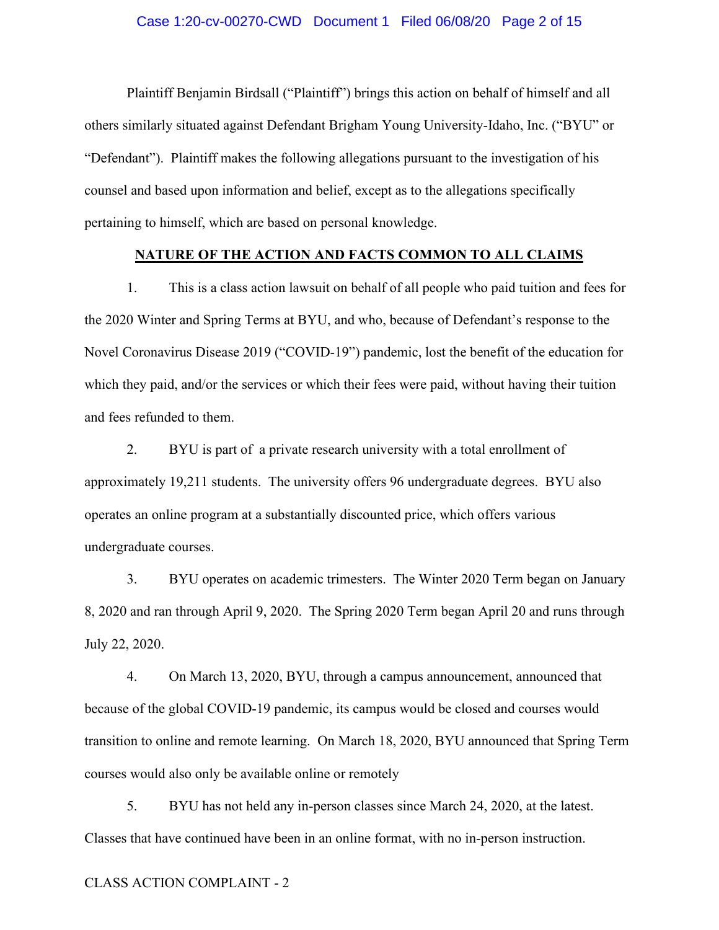#### Case 1:20-cv-00270-CWD Document 1 Filed 06/08/20 Page 2 of 15

Plaintiff Benjamin Birdsall ("Plaintiff") brings this action on behalf of himself and all others similarly situated against Defendant Brigham Young University-Idaho, Inc. ("BYU" or "Defendant"). Plaintiff makes the following allegations pursuant to the investigation of his counsel and based upon information and belief, except as to the allegations specifically pertaining to himself, which are based on personal knowledge.

#### **NATURE OF THE ACTION AND FACTS COMMON TO ALL CLAIMS**

1. This is a class action lawsuit on behalf of all people who paid tuition and fees for the 2020 Winter and Spring Terms at BYU, and who, because of Defendant's response to the Novel Coronavirus Disease 2019 ("COVID-19") pandemic, lost the benefit of the education for which they paid, and/or the services or which their fees were paid, without having their tuition and fees refunded to them.

2. BYU is part of a private research university with a total enrollment of approximately 19,211 students. The university offers 96 undergraduate degrees. BYU also operates an online program at a substantially discounted price, which offers various undergraduate courses.

3. BYU operates on academic trimesters. The Winter 2020 Term began on January 8, 2020 and ran through April 9, 2020. The Spring 2020 Term began April 20 and runs through July 22, 2020.

4. On March 13, 2020, BYU, through a campus announcement, announced that because of the global COVID-19 pandemic, its campus would be closed and courses would transition to online and remote learning. On March 18, 2020, BYU announced that Spring Term courses would also only be available online or remotely

5. BYU has not held any in-person classes since March 24, 2020, at the latest. Classes that have continued have been in an online format, with no in-person instruction.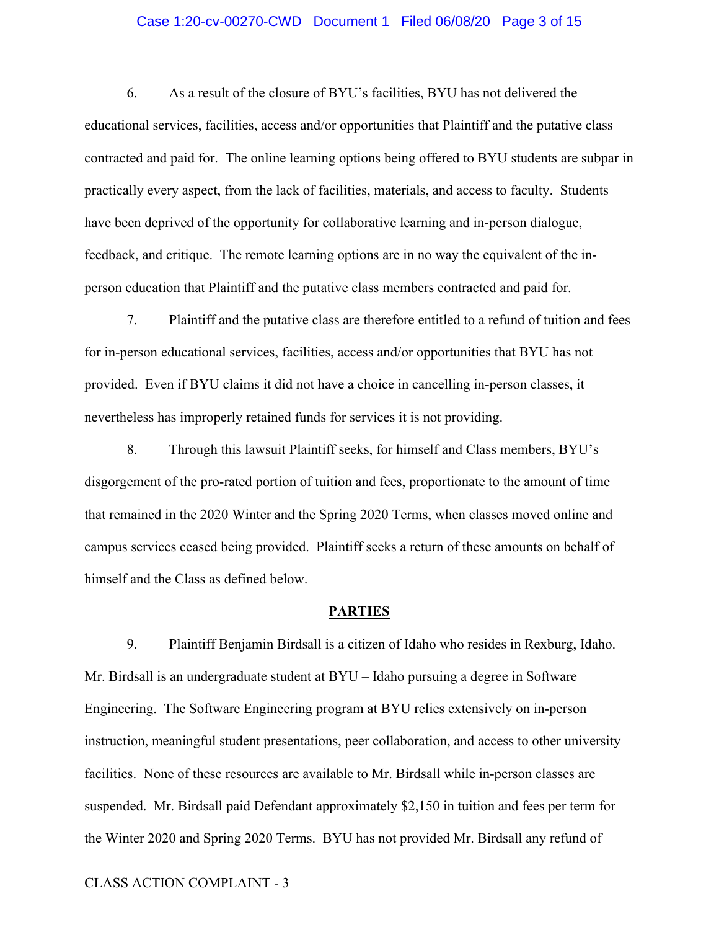#### Case 1:20-cv-00270-CWD Document 1 Filed 06/08/20 Page 3 of 15

6. As a result of the closure of BYU's facilities, BYU has not delivered the educational services, facilities, access and/or opportunities that Plaintiff and the putative class contracted and paid for. The online learning options being offered to BYU students are subpar in practically every aspect, from the lack of facilities, materials, and access to faculty. Students have been deprived of the opportunity for collaborative learning and in-person dialogue, feedback, and critique. The remote learning options are in no way the equivalent of the inperson education that Plaintiff and the putative class members contracted and paid for.

7. Plaintiff and the putative class are therefore entitled to a refund of tuition and fees for in-person educational services, facilities, access and/or opportunities that BYU has not provided. Even if BYU claims it did not have a choice in cancelling in-person classes, it nevertheless has improperly retained funds for services it is not providing.

8. Through this lawsuit Plaintiff seeks, for himself and Class members, BYU's disgorgement of the pro-rated portion of tuition and fees, proportionate to the amount of time that remained in the 2020 Winter and the Spring 2020 Terms, when classes moved online and campus services ceased being provided. Plaintiff seeks a return of these amounts on behalf of himself and the Class as defined below.

#### **PARTIES**

9. Plaintiff Benjamin Birdsall is a citizen of Idaho who resides in Rexburg, Idaho. Mr. Birdsall is an undergraduate student at BYU – Idaho pursuing a degree in Software Engineering. The Software Engineering program at BYU relies extensively on in-person instruction, meaningful student presentations, peer collaboration, and access to other university facilities. None of these resources are available to Mr. Birdsall while in-person classes are suspended. Mr. Birdsall paid Defendant approximately \$2,150 in tuition and fees per term for the Winter 2020 and Spring 2020 Terms. BYU has not provided Mr. Birdsall any refund of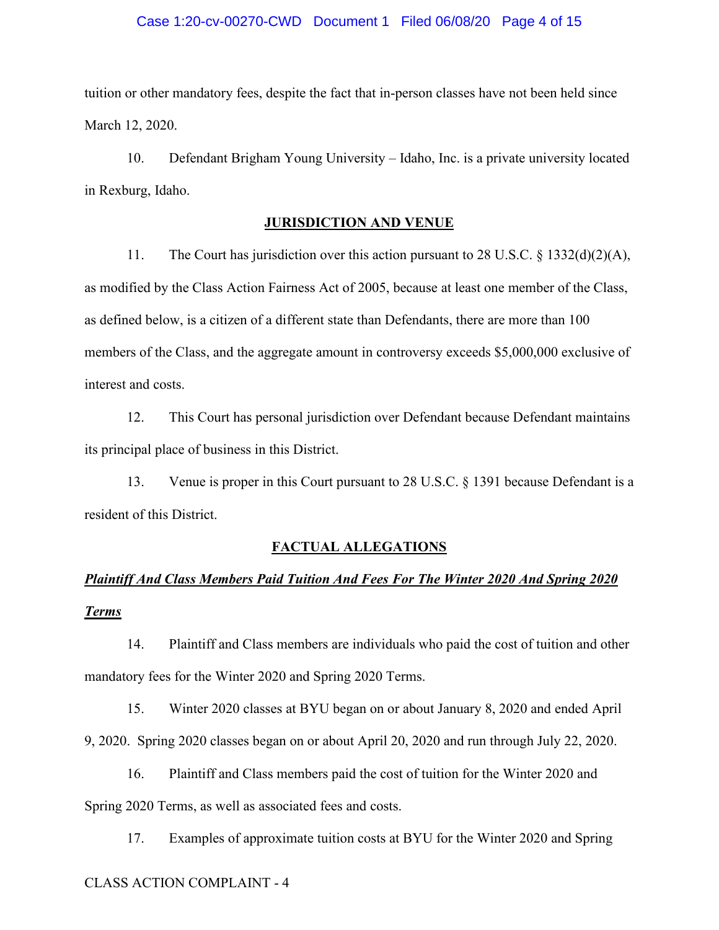#### Case 1:20-cv-00270-CWD Document 1 Filed 06/08/20 Page 4 of 15

tuition or other mandatory fees, despite the fact that in-person classes have not been held since March 12, 2020.

10. Defendant Brigham Young University – Idaho, Inc. is a private university located in Rexburg, Idaho.

#### **JURISDICTION AND VENUE**

11. The Court has jurisdiction over this action pursuant to 28 U.S.C. § 1332(d)(2)(A), as modified by the Class Action Fairness Act of 2005, because at least one member of the Class, as defined below, is a citizen of a different state than Defendants, there are more than 100 members of the Class, and the aggregate amount in controversy exceeds \$5,000,000 exclusive of interest and costs.

12. This Court has personal jurisdiction over Defendant because Defendant maintains its principal place of business in this District.

13. Venue is proper in this Court pursuant to 28 U.S.C. § 1391 because Defendant is a resident of this District.

#### **FACTUAL ALLEGATIONS**

## *Plaintiff And Class Members Paid Tuition And Fees For The Winter 2020 And Spring 2020 Terms*

14. Plaintiff and Class members are individuals who paid the cost of tuition and other mandatory fees for the Winter 2020 and Spring 2020 Terms.

15. Winter 2020 classes at BYU began on or about January 8, 2020 and ended April 9, 2020. Spring 2020 classes began on or about April 20, 2020 and run through July 22, 2020.

16. Plaintiff and Class members paid the cost of tuition for the Winter 2020 and Spring 2020 Terms, as well as associated fees and costs.

17. Examples of approximate tuition costs at BYU for the Winter 2020 and Spring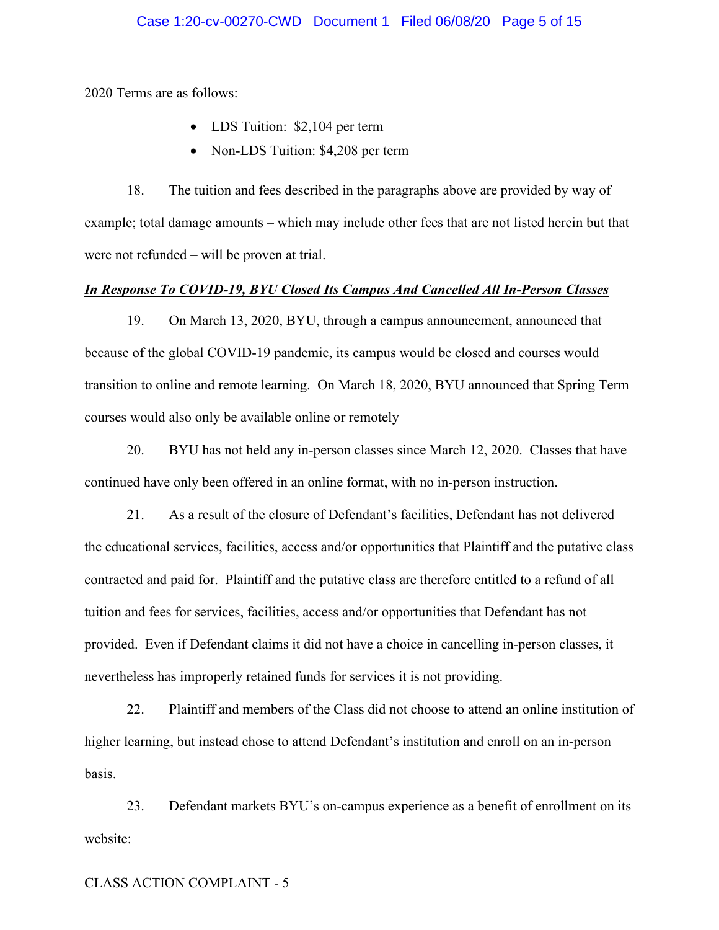2020 Terms are as follows:

- LDS Tuition: \$2,104 per term
- Non-LDS Tuition: \$4,208 per term

18. The tuition and fees described in the paragraphs above are provided by way of example; total damage amounts – which may include other fees that are not listed herein but that were not refunded – will be proven at trial.

#### *In Response To COVID-19, BYU Closed Its Campus And Cancelled All In-Person Classes*

19. On March 13, 2020, BYU, through a campus announcement, announced that because of the global COVID-19 pandemic, its campus would be closed and courses would transition to online and remote learning. On March 18, 2020, BYU announced that Spring Term courses would also only be available online or remotely

20. BYU has not held any in-person classes since March 12, 2020. Classes that have continued have only been offered in an online format, with no in-person instruction.

21. As a result of the closure of Defendant's facilities, Defendant has not delivered the educational services, facilities, access and/or opportunities that Plaintiff and the putative class contracted and paid for. Plaintiff and the putative class are therefore entitled to a refund of all tuition and fees for services, facilities, access and/or opportunities that Defendant has not provided. Even if Defendant claims it did not have a choice in cancelling in-person classes, it nevertheless has improperly retained funds for services it is not providing.

22. Plaintiff and members of the Class did not choose to attend an online institution of higher learning, but instead chose to attend Defendant's institution and enroll on an in-person basis.

23. Defendant markets BYU's on-campus experience as a benefit of enrollment on its website: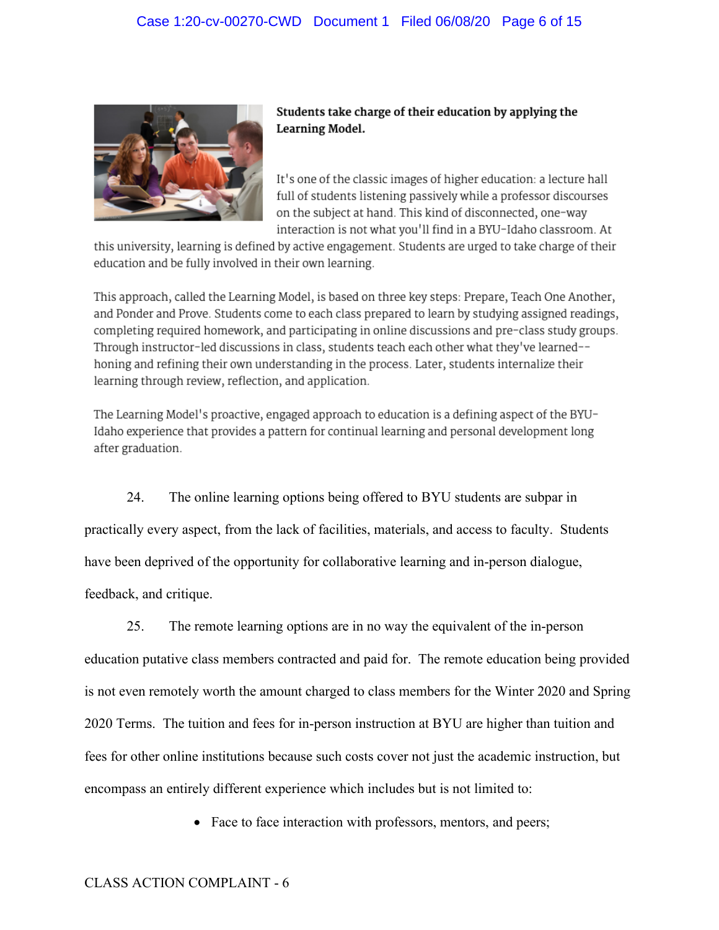

Students take charge of their education by applying the Learning Model.

It's one of the classic images of higher education: a lecture hall full of students listening passively while a professor discourses on the subject at hand. This kind of disconnected, one-way interaction is not what you'll find in a BYU-Idaho classroom. At

this university, learning is defined by active engagement. Students are urged to take charge of their education and be fully involved in their own learning.

This approach, called the Learning Model, is based on three key steps: Prepare, Teach One Another, and Ponder and Prove. Students come to each class prepared to learn by studying assigned readings, completing required homework, and participating in online discussions and pre-class study groups. Through instructor-led discussions in class, students teach each other what they've learned-honing and refining their own understanding in the process. Later, students internalize their learning through review, reflection, and application.

The Learning Model's proactive, engaged approach to education is a defining aspect of the BYU-Idaho experience that provides a pattern for continual learning and personal development long after graduation.

24. The online learning options being offered to BYU students are subpar in practically every aspect, from the lack of facilities, materials, and access to faculty. Students have been deprived of the opportunity for collaborative learning and in-person dialogue, feedback, and critique.

25. The remote learning options are in no way the equivalent of the in-person education putative class members contracted and paid for. The remote education being provided is not even remotely worth the amount charged to class members for the Winter 2020 and Spring 2020 Terms. The tuition and fees for in-person instruction at BYU are higher than tuition and fees for other online institutions because such costs cover not just the academic instruction, but encompass an entirely different experience which includes but is not limited to:

• Face to face interaction with professors, mentors, and peers;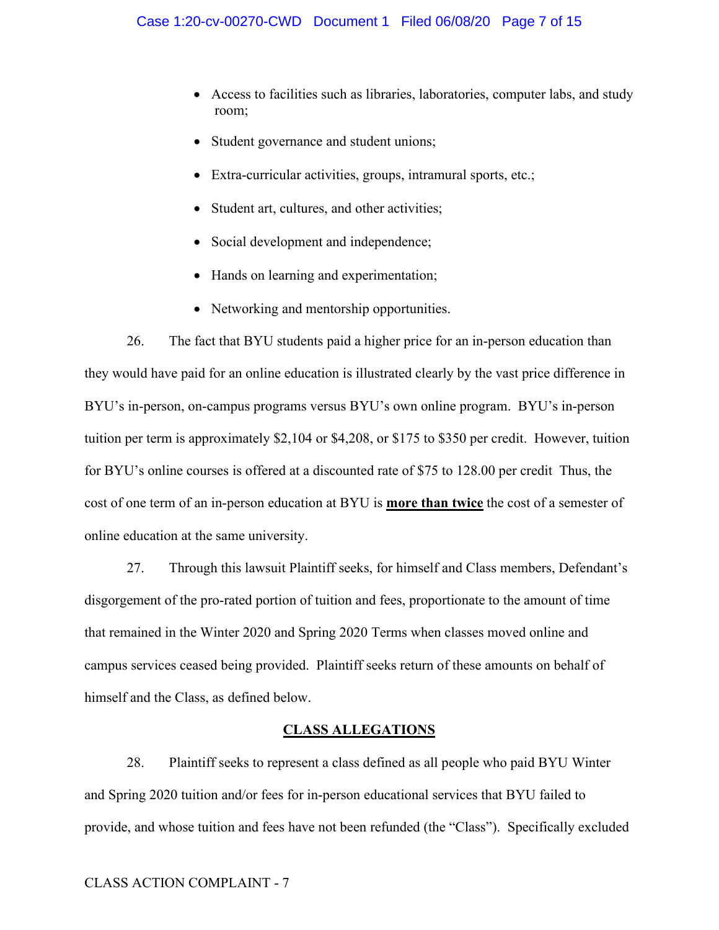- Access to facilities such as libraries, laboratories, computer labs, and study room;
- Student governance and student unions;
- Extra-curricular activities, groups, intramural sports, etc.;
- Student art, cultures, and other activities;
- Social development and independence;
- Hands on learning and experimentation;
- Networking and mentorship opportunities.

26. The fact that BYU students paid a higher price for an in-person education than they would have paid for an online education is illustrated clearly by the vast price difference in BYU's in-person, on-campus programs versus BYU's own online program. BYU's in-person tuition per term is approximately \$2,104 or \$4,208, or \$175 to \$350 per credit. However, tuition for BYU's online courses is offered at a discounted rate of \$75 to 128.00 per credit Thus, the cost of one term of an in-person education at BYU is **more than twice** the cost of a semester of online education at the same university.

27. Through this lawsuit Plaintiff seeks, for himself and Class members, Defendant's disgorgement of the pro-rated portion of tuition and fees, proportionate to the amount of time that remained in the Winter 2020 and Spring 2020 Terms when classes moved online and campus services ceased being provided. Plaintiff seeks return of these amounts on behalf of himself and the Class, as defined below.

## **CLASS ALLEGATIONS**

28. Plaintiff seeks to represent a class defined as all people who paid BYU Winter and Spring 2020 tuition and/or fees for in-person educational services that BYU failed to provide, and whose tuition and fees have not been refunded (the "Class"). Specifically excluded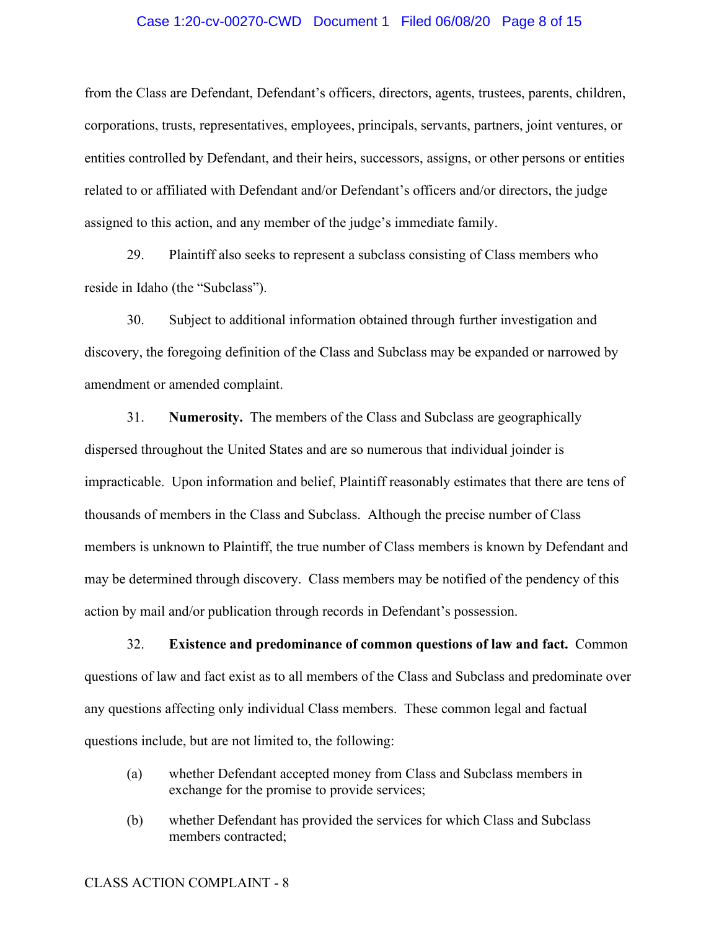#### Case 1:20-cv-00270-CWD Document 1 Filed 06/08/20 Page 8 of 15

from the Class are Defendant, Defendant's officers, directors, agents, trustees, parents, children, corporations, trusts, representatives, employees, principals, servants, partners, joint ventures, or entities controlled by Defendant, and their heirs, successors, assigns, or other persons or entities related to or affiliated with Defendant and/or Defendant's officers and/or directors, the judge assigned to this action, and any member of the judge's immediate family.

29. Plaintiff also seeks to represent a subclass consisting of Class members who reside in Idaho (the "Subclass").

30. Subject to additional information obtained through further investigation and discovery, the foregoing definition of the Class and Subclass may be expanded or narrowed by amendment or amended complaint.

31. **Numerosity.** The members of the Class and Subclass are geographically dispersed throughout the United States and are so numerous that individual joinder is impracticable. Upon information and belief, Plaintiff reasonably estimates that there are tens of thousands of members in the Class and Subclass. Although the precise number of Class members is unknown to Plaintiff, the true number of Class members is known by Defendant and may be determined through discovery. Class members may be notified of the pendency of this action by mail and/or publication through records in Defendant's possession.

32. **Existence and predominance of common questions of law and fact.** Common questions of law and fact exist as to all members of the Class and Subclass and predominate over any questions affecting only individual Class members. These common legal and factual questions include, but are not limited to, the following:

- (a) whether Defendant accepted money from Class and Subclass members in exchange for the promise to provide services;
- (b) whether Defendant has provided the services for which Class and Subclass members contracted;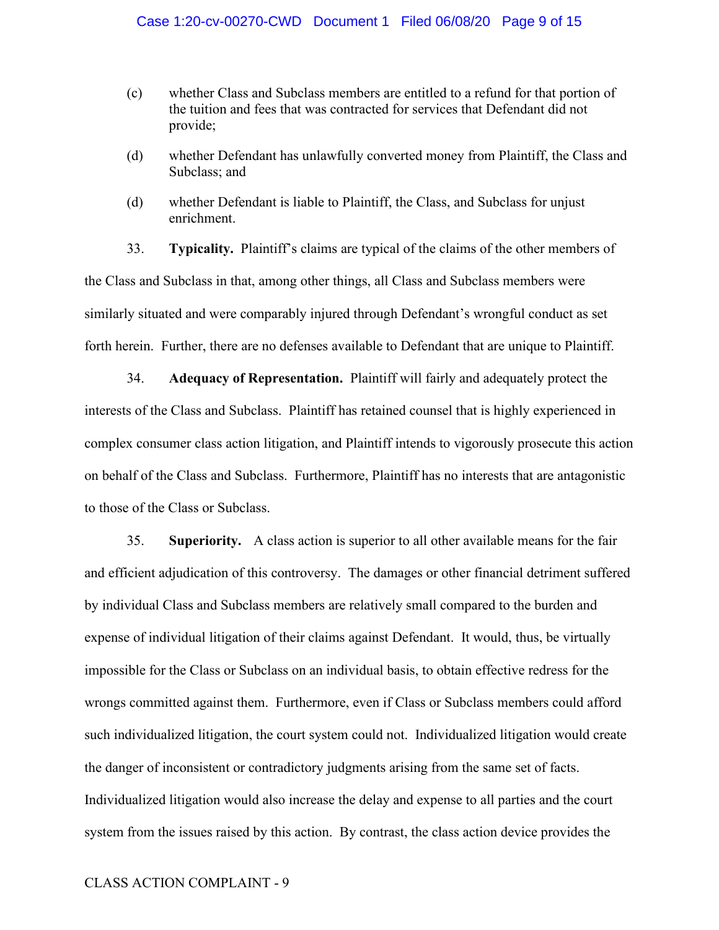- (c) whether Class and Subclass members are entitled to a refund for that portion of the tuition and fees that was contracted for services that Defendant did not provide;
- (d) whether Defendant has unlawfully converted money from Plaintiff, the Class and Subclass; and
- (d) whether Defendant is liable to Plaintiff, the Class, and Subclass for unjust enrichment.

33. **Typicality.** Plaintiff's claims are typical of the claims of the other members of the Class and Subclass in that, among other things, all Class and Subclass members were similarly situated and were comparably injured through Defendant's wrongful conduct as set forth herein. Further, there are no defenses available to Defendant that are unique to Plaintiff.

34. **Adequacy of Representation.** Plaintiff will fairly and adequately protect the interests of the Class and Subclass. Plaintiff has retained counsel that is highly experienced in complex consumer class action litigation, and Plaintiff intends to vigorously prosecute this action on behalf of the Class and Subclass. Furthermore, Plaintiff has no interests that are antagonistic to those of the Class or Subclass.

35. **Superiority.** A class action is superior to all other available means for the fair and efficient adjudication of this controversy. The damages or other financial detriment suffered by individual Class and Subclass members are relatively small compared to the burden and expense of individual litigation of their claims against Defendant. It would, thus, be virtually impossible for the Class or Subclass on an individual basis, to obtain effective redress for the wrongs committed against them. Furthermore, even if Class or Subclass members could afford such individualized litigation, the court system could not. Individualized litigation would create the danger of inconsistent or contradictory judgments arising from the same set of facts. Individualized litigation would also increase the delay and expense to all parties and the court system from the issues raised by this action. By contrast, the class action device provides the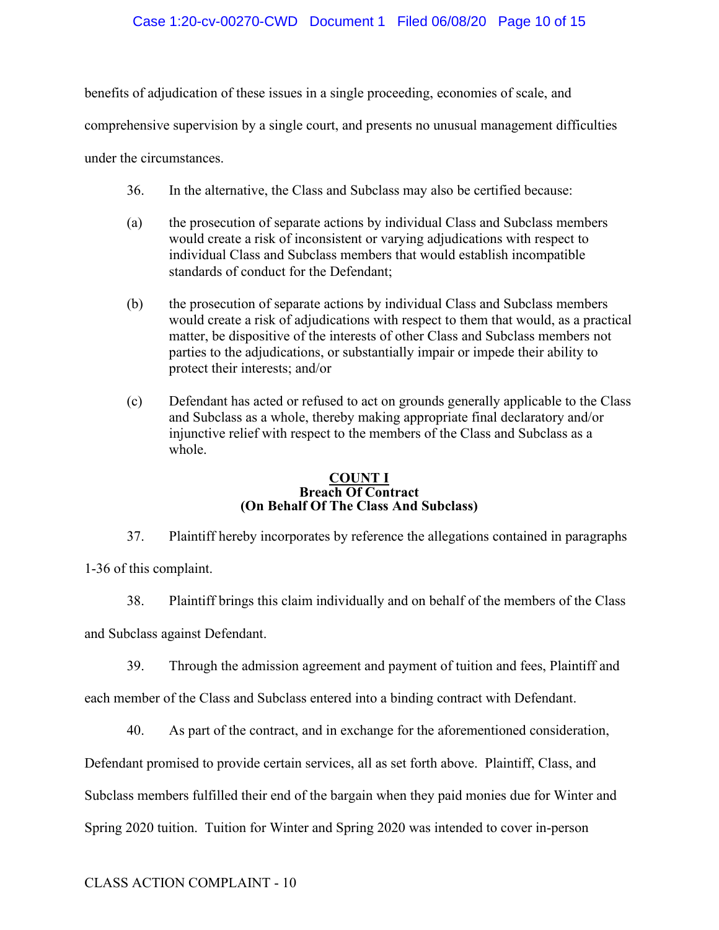## Case 1:20-cv-00270-CWD Document 1 Filed 06/08/20 Page 10 of 15

benefits of adjudication of these issues in a single proceeding, economies of scale, and comprehensive supervision by a single court, and presents no unusual management difficulties under the circumstances.

- 36. In the alternative, the Class and Subclass may also be certified because:
- (a) the prosecution of separate actions by individual Class and Subclass members would create a risk of inconsistent or varying adjudications with respect to individual Class and Subclass members that would establish incompatible standards of conduct for the Defendant;
- (b) the prosecution of separate actions by individual Class and Subclass members would create a risk of adjudications with respect to them that would, as a practical matter, be dispositive of the interests of other Class and Subclass members not parties to the adjudications, or substantially impair or impede their ability to protect their interests; and/or
- (c) Defendant has acted or refused to act on grounds generally applicable to the Class and Subclass as a whole, thereby making appropriate final declaratory and/or injunctive relief with respect to the members of the Class and Subclass as a whole.

#### **COUNT I Breach Of Contract (On Behalf Of The Class And Subclass)**

37. Plaintiff hereby incorporates by reference the allegations contained in paragraphs

1-36 of this complaint.

- 38. Plaintiff brings this claim individually and on behalf of the members of the Class and Subclass against Defendant.
	- 39. Through the admission agreement and payment of tuition and fees, Plaintiff and

each member of the Class and Subclass entered into a binding contract with Defendant.

40. As part of the contract, and in exchange for the aforementioned consideration,

Defendant promised to provide certain services, all as set forth above. Plaintiff, Class, and

Subclass members fulfilled their end of the bargain when they paid monies due for Winter and

Spring 2020 tuition. Tuition for Winter and Spring 2020 was intended to cover in-person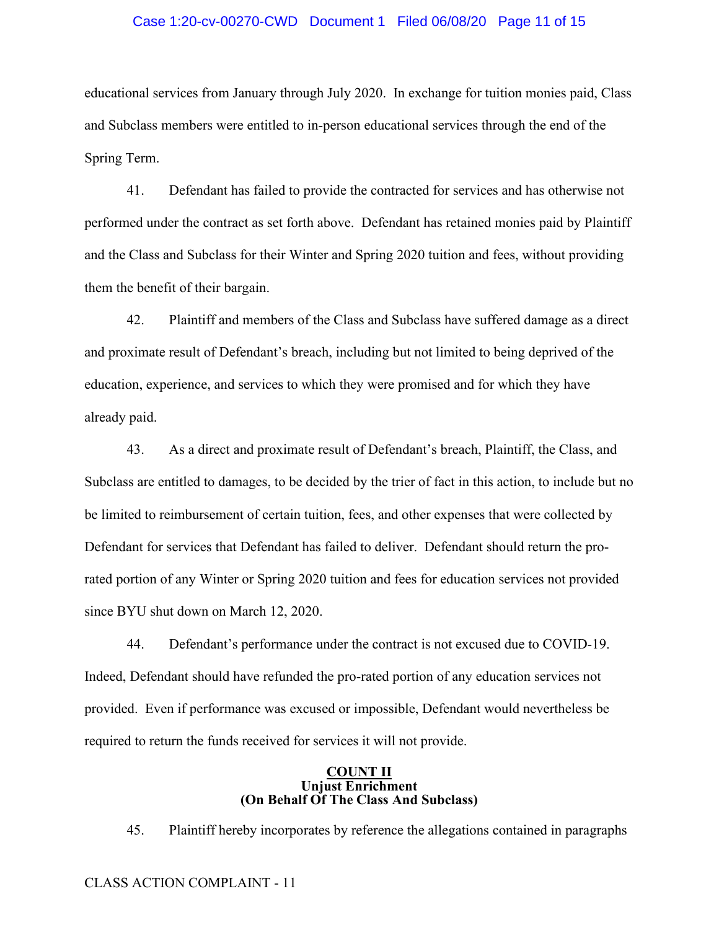#### Case 1:20-cv-00270-CWD Document 1 Filed 06/08/20 Page 11 of 15

educational services from January through July 2020. In exchange for tuition monies paid, Class and Subclass members were entitled to in-person educational services through the end of the Spring Term.

41. Defendant has failed to provide the contracted for services and has otherwise not performed under the contract as set forth above. Defendant has retained monies paid by Plaintiff and the Class and Subclass for their Winter and Spring 2020 tuition and fees, without providing them the benefit of their bargain.

42. Plaintiff and members of the Class and Subclass have suffered damage as a direct and proximate result of Defendant's breach, including but not limited to being deprived of the education, experience, and services to which they were promised and for which they have already paid.

43. As a direct and proximate result of Defendant's breach, Plaintiff, the Class, and Subclass are entitled to damages, to be decided by the trier of fact in this action, to include but no be limited to reimbursement of certain tuition, fees, and other expenses that were collected by Defendant for services that Defendant has failed to deliver. Defendant should return the prorated portion of any Winter or Spring 2020 tuition and fees for education services not provided since BYU shut down on March 12, 2020.

44. Defendant's performance under the contract is not excused due to COVID-19. Indeed, Defendant should have refunded the pro-rated portion of any education services not provided. Even if performance was excused or impossible, Defendant would nevertheless be required to return the funds received for services it will not provide.

#### **COUNT II Unjust Enrichment (On Behalf Of The Class And Subclass)**

45. Plaintiff hereby incorporates by reference the allegations contained in paragraphs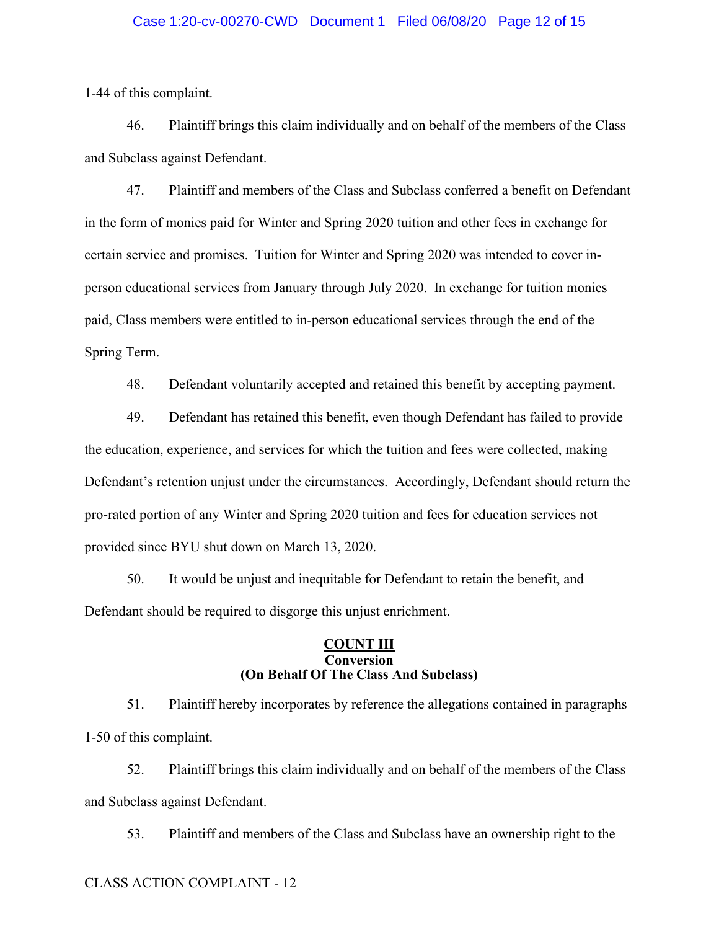#### Case 1:20-cv-00270-CWD Document 1 Filed 06/08/20 Page 12 of 15

1-44 of this complaint.

46. Plaintiff brings this claim individually and on behalf of the members of the Class and Subclass against Defendant.

47. Plaintiff and members of the Class and Subclass conferred a benefit on Defendant in the form of monies paid for Winter and Spring 2020 tuition and other fees in exchange for certain service and promises. Tuition for Winter and Spring 2020 was intended to cover inperson educational services from January through July 2020. In exchange for tuition monies paid, Class members were entitled to in-person educational services through the end of the Spring Term.

48. Defendant voluntarily accepted and retained this benefit by accepting payment.

49. Defendant has retained this benefit, even though Defendant has failed to provide the education, experience, and services for which the tuition and fees were collected, making Defendant's retention unjust under the circumstances. Accordingly, Defendant should return the pro-rated portion of any Winter and Spring 2020 tuition and fees for education services not provided since BYU shut down on March 13, 2020.

50. It would be unjust and inequitable for Defendant to retain the benefit, and Defendant should be required to disgorge this unjust enrichment.

## **COUNT III Conversion (On Behalf Of The Class And Subclass)**

51. Plaintiff hereby incorporates by reference the allegations contained in paragraphs 1-50 of this complaint.

52. Plaintiff brings this claim individually and on behalf of the members of the Class and Subclass against Defendant.

53. Plaintiff and members of the Class and Subclass have an ownership right to the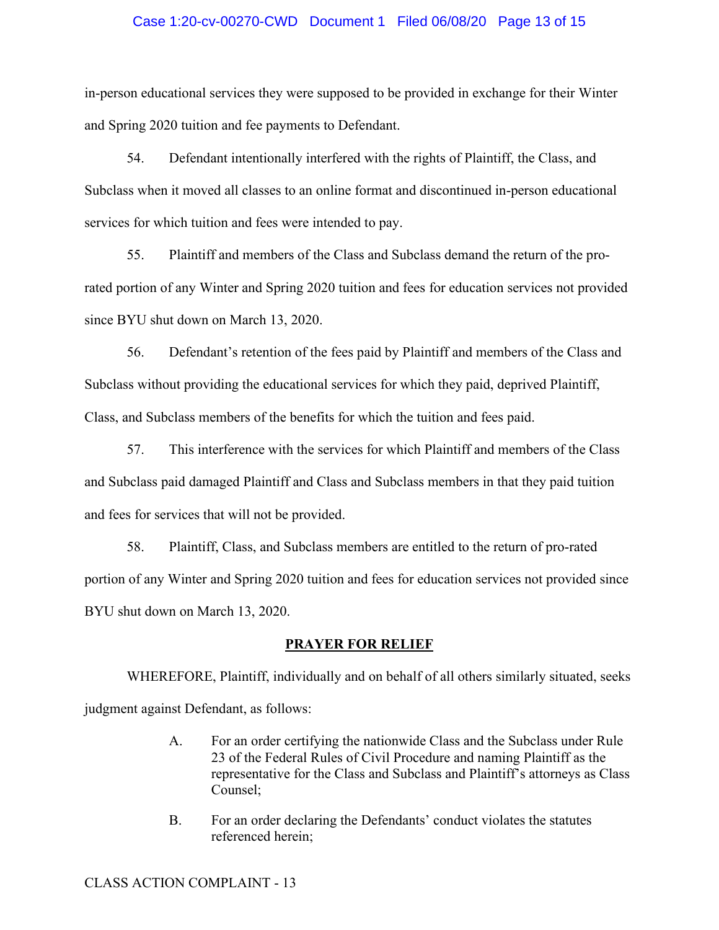#### Case 1:20-cv-00270-CWD Document 1 Filed 06/08/20 Page 13 of 15

in-person educational services they were supposed to be provided in exchange for their Winter and Spring 2020 tuition and fee payments to Defendant.

54. Defendant intentionally interfered with the rights of Plaintiff, the Class, and Subclass when it moved all classes to an online format and discontinued in-person educational services for which tuition and fees were intended to pay.

55. Plaintiff and members of the Class and Subclass demand the return of the prorated portion of any Winter and Spring 2020 tuition and fees for education services not provided since BYU shut down on March 13, 2020.

56. Defendant's retention of the fees paid by Plaintiff and members of the Class and Subclass without providing the educational services for which they paid, deprived Plaintiff, Class, and Subclass members of the benefits for which the tuition and fees paid.

57. This interference with the services for which Plaintiff and members of the Class and Subclass paid damaged Plaintiff and Class and Subclass members in that they paid tuition and fees for services that will not be provided.

58. Plaintiff, Class, and Subclass members are entitled to the return of pro-rated portion of any Winter and Spring 2020 tuition and fees for education services not provided since BYU shut down on March 13, 2020.

#### **PRAYER FOR RELIEF**

WHEREFORE, Plaintiff, individually and on behalf of all others similarly situated, seeks judgment against Defendant, as follows:

- A. For an order certifying the nationwide Class and the Subclass under Rule 23 of the Federal Rules of Civil Procedure and naming Plaintiff as the representative for the Class and Subclass and Plaintiff's attorneys as Class Counsel;
- B. For an order declaring the Defendants' conduct violates the statutes referenced herein;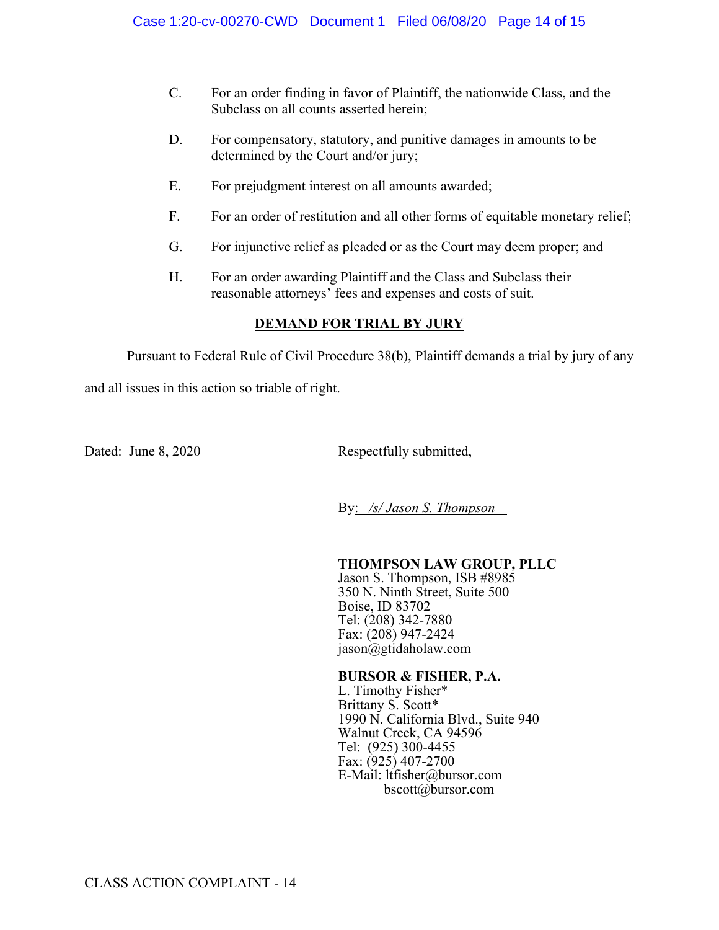- C. For an order finding in favor of Plaintiff, the nationwide Class, and the Subclass on all counts asserted herein;
- D. For compensatory, statutory, and punitive damages in amounts to be determined by the Court and/or jury;
- E. For prejudgment interest on all amounts awarded;
- F. For an order of restitution and all other forms of equitable monetary relief;
- G. For injunctive relief as pleaded or as the Court may deem proper; and
- H. For an order awarding Plaintiff and the Class and Subclass their reasonable attorneys' fees and expenses and costs of suit.

## **DEMAND FOR TRIAL BY JURY**

Pursuant to Federal Rule of Civil Procedure 38(b), Plaintiff demands a trial by jury of any

and all issues in this action so triable of right.

Dated: June 8, 2020 Respectfully submitted,

By: */s/ Jason S. Thompson*

## **THOMPSON LAW GROUP, PLLC**

Jason S. Thompson, ISB #8985 350 N. Ninth Street, Suite 500 Boise, ID 83702 Tel: (208) 342-7880 Fax: (208) 947-2424 jason@gtidaholaw.com

## **BURSOR & FISHER, P.A.**

L. Timothy Fisher\* Brittany S. Scott\* 1990 N. California Blvd., Suite 940 Walnut Creek, CA 94596 Tel: (925) 300-4455 Fax: (925) 407-2700 E-Mail: ltfisher@bursor.com bscott@bursor.com